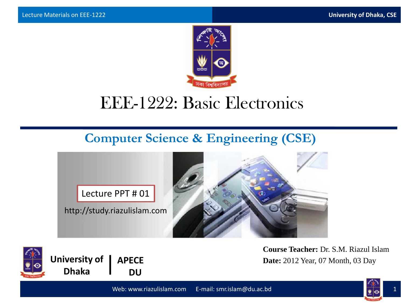

## EEE-1222: Basic Electronics

#### **Computer Science & Engineering (CSE)**

Lecture PPT # 01

http://study.riazulislam.com





**University of | APECE DU**

**Course Teacher:** Dr. S.M. Riazul Islam **Date:** 2012 Year, 07 Month, 03 Day

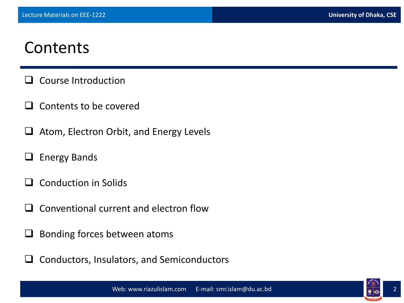#### **Contents**

- $\Box$  Course Introduction
- $\Box$  Contents to be covered
- $\Box$  Atom, Electron Orbit, and Energy Levels
- $\Box$  Energy Bands
- Conduction in Solids
- Conventional current and electron flow
- $\Box$  Bonding forces between atoms
- $\Box$  Conductors, Insulators, and Semiconductors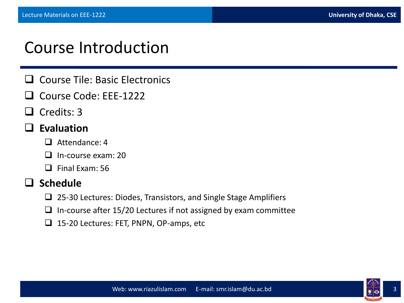#### Course Introduction

- $\Box$  Course Tile: Basic Electronics
- Course Code: EEE-1222
- $\Box$  Credits: 3
- **Evaluation**
	- $\Box$  Attendance: 4
	- $\Box$  In-course exam: 20
	- $\Box$  Final Exam: 56

#### **Schedule**

- $\Box$  25-30 Lectures: Diodes, Transistors, and Single Stage Amplifiers
- $\Box$  In-course after 15/20 Lectures if not assigned by exam committee
- □ 15-20 Lectures: FET, PNPN, OP-amps, etc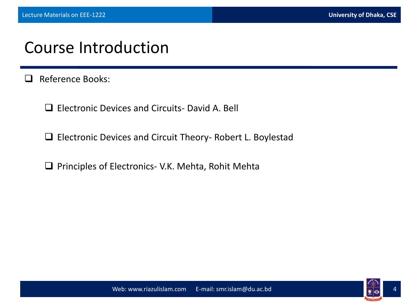#### Course Introduction

- Reference Books:
	- □ Flectronic Devices and Circuits- David A. Bell
	- Electronic Devices and Circuit Theory- Robert L. Boylestad
	- $\Box$  Principles of Electronics- V.K. Mehta, Rohit Mehta

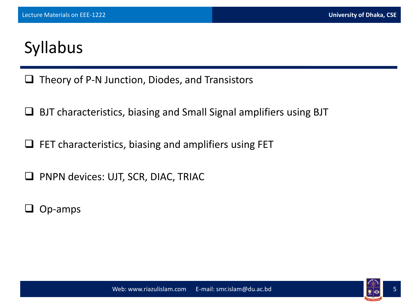# Syllabus

- $\Box$  Theory of P-N Junction, Diodes, and Transistors
- BJT characteristics, biasing and Small Signal amplifiers using BJT
- $\Box$  FET characteristics, biasing and amplifiers using FET
- **Q** PNPN devices: UJT, SCR, DIAC, TRIAC
- Op-amps

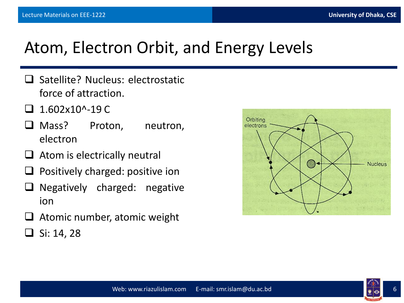## Atom, Electron Orbit, and Energy Levels

- $\Box$  Satellite? Nucleus: electrostatic force of attraction.
- 1.602x10^-19 C
- Mass? Proton, neutron, electron
- $\Box$  Atom is electrically neutral
- $\Box$  Positively charged: positive ion
- $\Box$  Negatively charged: negative ion
- Atomic number, atomic weight
- $\Box$  Si: 14, 28



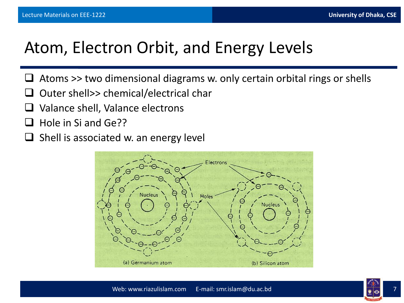## Atom, Electron Orbit, and Energy Levels

- Atoms >> two dimensional diagrams w. only certain orbital rings or shells
- Outer shell>> chemical/electrical char
- Valance shell, Valance electrons
- Hole in Si and Ge??
- $\Box$  Shell is associated w. an energy level



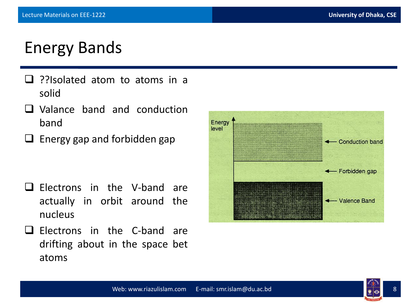## Energy Bands

- $\Box$  ??Isolated atom to atoms in a solid
- Valance band and conduction band
- $\Box$  Energy gap and forbidden gap

- $\Box$  Electrons in the V-band are actually in orbit around the nucleus
- $\Box$  Electrons in the C-band are drifting about in the space bet atoms



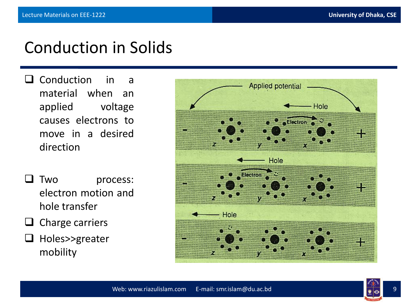### Conduction in Solids

- **Q** Conduction in a material when an applied voltage causes electrons to move in a desired direction
- **T** Two process: electron motion and hole transfer
- $\Box$  Charge carriers
- $\Box$  Holes>>greater mobility

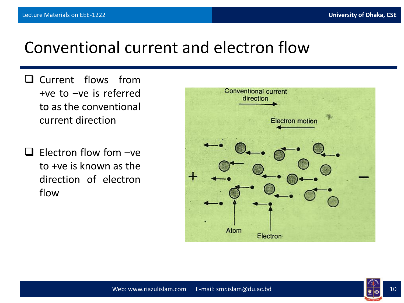#### Conventional current and electron flow

- Q Current flows from +ve to –ve is referred to as the conventional current direction
- $\Box$  Electron flow fom  $-\vee$ e to +ve is known as the direction of electron flow



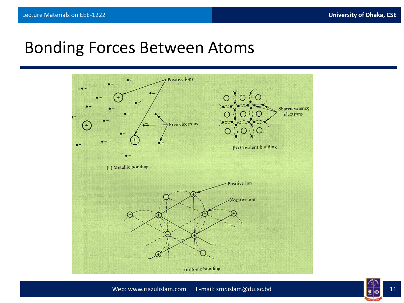#### Bonding Forces Between Atoms

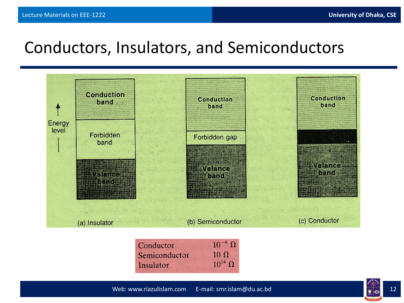### Conductors, Insulators, and Semiconductors



| Conductor     | $10^{-6}$ $\Omega$ |
|---------------|--------------------|
| Semiconductor | $10 \Omega$        |
| Insulator     | $10^{14}$ $\Omega$ |